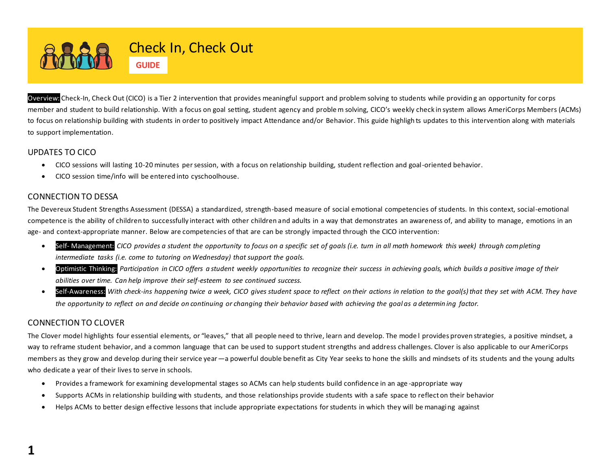

Overview: Check-In, Check Out (CICO) is a Tier 2 intervention that provides meaningful support and problem solving to students while providing an opportunity for corps member and student to build relationship. With a focus on goal setting, student agency and problem solving, CICO's weekly check in system allows AmeriCorps Members (ACMs) to focus on relationship building with students in order to positively impact Attendance and/or Behavior. This guide highligh ts updates to this intervention along with materials to support implementation.

## UPDATES TO CICO

- CICO sessions will lasting 10-20 minutes per session, with a focus on relationship building, student reflection and goal-oriented behavior.
- CICO session time/info will be entered into cyschoolhouse.

## CONNECTION TO DESSA

The Devereux Student Strengths Assessment (DESSA) a standardized, strength-based measure of social emotional competencies of students. In this context, social-emotional competence is the ability of children to successfully interact with other children and adults in a way that demonstrates an awareness of, and ability to manage, emotions in an age- and context-appropriate manner. Below are competencies of that are can be strongly impacted through the CICO intervention:

- Self- Management: *CICO provides a student the opportunity to focus on a specific set of goals (i.e. turn in all math homework this week) through completing intermediate tasks (i.e. come to tutoring on Wednesday) that support the goals.*
- Optimistic Thinking: *Participation in CICO offers a student weekly opportunities to recognize their success in achieving goals, which builds a positive image of their abilities over time. Can help improve their self-esteem to see continued success.*
- Self-Awareness: With check-ins happening twice a week, CICO gives student space to reflect on their actions in relation to the goal(s) that they set with ACM. They have *the opportunity to reflect on and decide on continuing or changing their behavior based with achieving the goal as a determin ing factor.*

## CONNECTION TO CLOVER

The Clover model highlights four essential elements, or "leaves," that all people need to thrive, learn and develop. The mode l provides proven strategies, a positive mindset, a way to reframe student behavior, and a common language that can be used to support student strengths and address challenges. Clover is also applicable to our AmeriCorps members as they grow and develop during their service year—a powerful double benefit as City Year seeks to hone the skills and mindsets of its students and the young adults who dedicate a year of their lives to serve in schools.

- Provides a framework for examining developmental stages so ACMs can help students build confidence in an age -appropriate way
- Supports ACMs in relationship building with students, and those relationships provide students with a safe space to reflect on their behavior
- Helps ACMs to better design effective lessons that include appropriate expectations for students in which they will be managing against